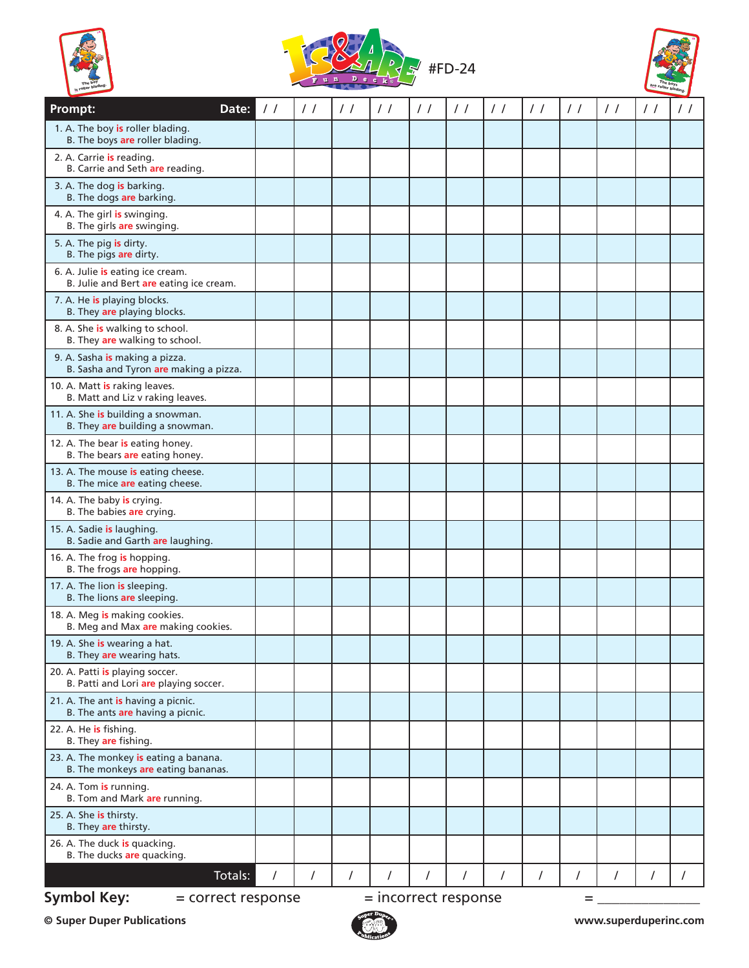





| <b>Prompt:</b>                                                              | Date:   | $\frac{1}{2}$ | $\frac{1}{2}$ | $\frac{1}{2}$ | $\frac{1}{2}$ | $\frac{1}{2}$ | $\frac{1}{2}$ | $\frac{1}{2}$ | $\frac{1}{2}$ | $\frac{1}{2}$ | $\frac{1}{2}$ | $\frac{1}{2}$ | $\frac{1}{2}$ |
|-----------------------------------------------------------------------------|---------|---------------|---------------|---------------|---------------|---------------|---------------|---------------|---------------|---------------|---------------|---------------|---------------|
| 1. A. The boy is roller blading.<br>B. The boys are roller blading.         |         |               |               |               |               |               |               |               |               |               |               |               |               |
| 2. A. Carrie is reading.<br>B. Carrie and Seth are reading.                 |         |               |               |               |               |               |               |               |               |               |               |               |               |
| 3. A. The dog is barking.<br>B. The dogs are barking.                       |         |               |               |               |               |               |               |               |               |               |               |               |               |
| 4. A. The girl is swinging.<br>B. The girls are swinging.                   |         |               |               |               |               |               |               |               |               |               |               |               |               |
| 5. A. The pig is dirty.<br>B. The pigs are dirty.                           |         |               |               |               |               |               |               |               |               |               |               |               |               |
| 6. A. Julie is eating ice cream.<br>B. Julie and Bert are eating ice cream. |         |               |               |               |               |               |               |               |               |               |               |               |               |
| 7. A. He is playing blocks.<br>B. They are playing blocks.                  |         |               |               |               |               |               |               |               |               |               |               |               |               |
| 8. A. She is walking to school.<br>B. They are walking to school.           |         |               |               |               |               |               |               |               |               |               |               |               |               |
| 9. A. Sasha is making a pizza.<br>B. Sasha and Tyron are making a pizza.    |         |               |               |               |               |               |               |               |               |               |               |               |               |
| 10. A. Matt is raking leaves.<br>B. Matt and Liz v raking leaves.           |         |               |               |               |               |               |               |               |               |               |               |               |               |
| 11. A. She is building a snowman.<br>B. They are building a snowman.        |         |               |               |               |               |               |               |               |               |               |               |               |               |
| 12. A. The bear is eating honey.<br>B. The bears are eating honey.          |         |               |               |               |               |               |               |               |               |               |               |               |               |
| 13. A. The mouse is eating cheese.<br>B. The mice are eating cheese.        |         |               |               |               |               |               |               |               |               |               |               |               |               |
| 14. A. The baby is crying.<br>B. The babies are crying.                     |         |               |               |               |               |               |               |               |               |               |               |               |               |
| 15. A. Sadie is laughing.<br>B. Sadie and Garth are laughing.               |         |               |               |               |               |               |               |               |               |               |               |               |               |
| 16. A. The frog is hopping.<br>B. The frogs are hopping.                    |         |               |               |               |               |               |               |               |               |               |               |               |               |
| 17. A. The lion is sleeping.<br>B. The lions are sleeping.                  |         |               |               |               |               |               |               |               |               |               |               |               |               |
| 18. A. Meg is making cookies.<br>B. Meg and Max are making cookies.         |         |               |               |               |               |               |               |               |               |               |               |               |               |
| 19. A. She is wearing a hat.<br>B. They are wearing hats.                   |         |               |               |               |               |               |               |               |               |               |               |               |               |
| 20. A. Patti is playing soccer.<br>B. Patti and Lori are playing soccer.    |         |               |               |               |               |               |               |               |               |               |               |               |               |
| 21. A. The ant is having a picnic.<br>B. The ants are having a picnic.      |         |               |               |               |               |               |               |               |               |               |               |               |               |
| 22. A. He is fishing.<br>B. They are fishing.                               |         |               |               |               |               |               |               |               |               |               |               |               |               |
| 23. A. The monkey is eating a banana.<br>B. The monkeys are eating bananas. |         |               |               |               |               |               |               |               |               |               |               |               |               |
| 24. A. Tom <mark>is</mark> running.<br>B. Tom and Mark are running.         |         |               |               |               |               |               |               |               |               |               |               |               |               |
| 25. A. She <b>is</b> thirsty.<br>B. They are thirsty.                       |         |               |               |               |               |               |               |               |               |               |               |               |               |
| 26. A. The duck is quacking.<br>B. The ducks are quacking.                  |         |               |               |               |               |               |               |               |               |               |               |               |               |
|                                                                             | Totals: | 7             | $\prime$      | $\prime$      | $\prime$      | 1             | 1             | 7             | $\prime$      | $\prime$      |               | I             |               |
| <b>Symbol Key:</b><br>$=$ incorrect response<br>= correct response<br>=     |         |               |               |               |               |               |               |               |               |               |               |               |               |